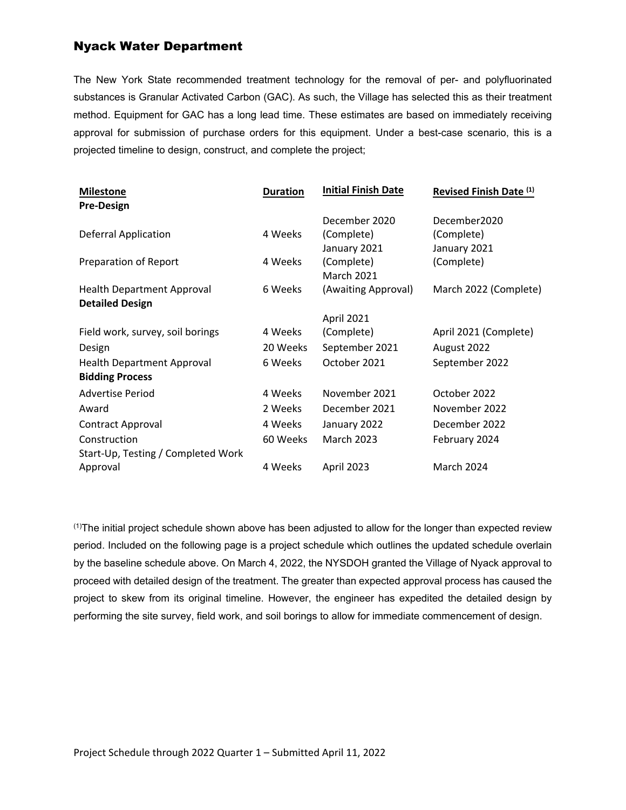## Nyack Water Department

The New York State recommended treatment technology for the removal of per- and polyfluorinated substances is Granular Activated Carbon (GAC). As such, the Village has selected this as their treatment method. Equipment for GAC has a long lead time. These estimates are based on immediately receiving approval for submission of purchase orders for this equipment. Under a best-case scenario, this is a projected timeline to design, construct, and complete the project;

| <b>Duration</b> | <b>Initial Finish Date</b> | Revised Finish Date (1) |  |  |  |  |
|-----------------|----------------------------|-------------------------|--|--|--|--|
|                 |                            |                         |  |  |  |  |
|                 | December 2020              | December2020            |  |  |  |  |
| 4 Weeks         | (Complete)                 | (Complete)              |  |  |  |  |
|                 | January 2021               | January 2021            |  |  |  |  |
| 4 Weeks         | (Complete)                 | (Complete)              |  |  |  |  |
|                 | <b>March 2021</b>          |                         |  |  |  |  |
| 6 Weeks         | (Awaiting Approval)        | March 2022 (Complete)   |  |  |  |  |
|                 |                            |                         |  |  |  |  |
|                 | April 2021                 |                         |  |  |  |  |
| 4 Weeks         | (Complete)                 | April 2021 (Complete)   |  |  |  |  |
| 20 Weeks        | September 2021             | August 2022             |  |  |  |  |
| 6 Weeks         | October 2021               | September 2022          |  |  |  |  |
|                 |                            |                         |  |  |  |  |
| 4 Weeks         | November 2021              | October 2022            |  |  |  |  |
| 2 Weeks         | December 2021              | November 2022           |  |  |  |  |
| 4 Weeks         | January 2022               | December 2022           |  |  |  |  |
| 60 Weeks        | <b>March 2023</b>          | February 2024           |  |  |  |  |
|                 |                            |                         |  |  |  |  |
| 4 Weeks         | April 2023                 | <b>March 2024</b>       |  |  |  |  |
|                 |                            |                         |  |  |  |  |

(1)The initial project schedule shown above has been adjusted to allow for the longer than expected review period. Included on the following page is a project schedule which outlines the updated schedule overlain by the baseline schedule above. On March 4, 2022, the NYSDOH granted the Village of Nyack approval to proceed with detailed design of the treatment. The greater than expected approval process has caused the project to skew from its original timeline. However, the engineer has expedited the detailed design by performing the site survey, field work, and soil borings to allow for immediate commencement of design.